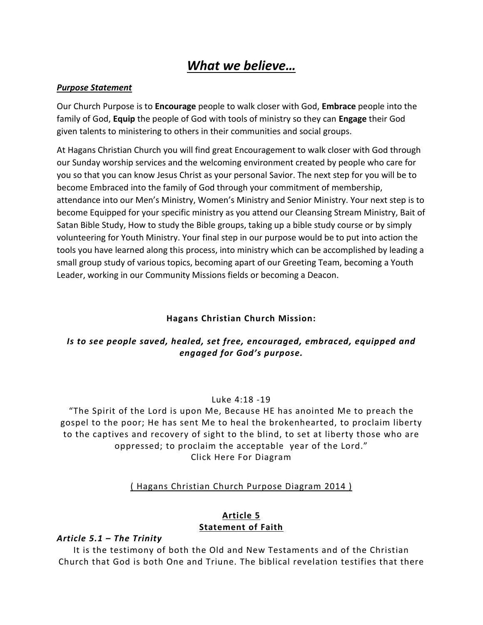# *What we believe…*

#### *Purpose Statement*

Our Church Purpose is to **Encourage** people to walk closer with God, **Embrace** people into the family of God, **Equip** the people of God with tools of ministry so they can **Engage** their God given talents to ministering to others in their communities and social groups.

At Hagans Christian Church you will find great Encouragement to walk closer with God through our Sunday worship services and the welcoming environment created by people who care for you so that you can know Jesus Christ as your personal Savior. The next step for you will be to become Embraced into the family of God through your commitment of membership, attendance into our Men's Ministry, Women's Ministry and Senior Ministry. Your next step is to become Equipped for your specific ministry as you attend our Cleansing Stream Ministry, Bait of Satan Bible Study, How to study the Bible groups, taking up a bible study course or by simply volunteering for Youth Ministry. Your final step in our purpose would be to put into action the tools you have learned along this process, into ministry which can be accomplished by leading a small group study of various topics, becoming apart of our Greeting Team, becoming a Youth Leader, working in our Community Missions fields or becoming a Deacon.

## **Hagans Christian Church Mission:**

# *Is to see people saved, healed, set free, encouraged, embraced, equipped and engaged for God's purpose.*

#### Luke 4:18 -19

"The Spirit of the Lord is upon Me, Because HE has anointed Me to preach the gospel to the poor; He has sent Me to heal the brokenhearted, to proclaim liberty to the captives and recovery of sight to the blind, to set at liberty those who are oppressed; to proclaim the acceptable year of the Lord." Click Here For Diagram

## ( Hagans [Christian](http://www.haganschristianchurch.com/hp_wordpress/wp-content/uploads/2014/03/Hagans-Christian-Church-Purpose-Diagram-2014.pdf) Church Purpose Diagram 2014 )

#### **Article 5 Statement of Faith**

## *Article 5.1 – The Trinity*

It is the testimony of both the Old and New Testaments and of the Christian Church that God is both One and Triune. The biblical revelation testifies that there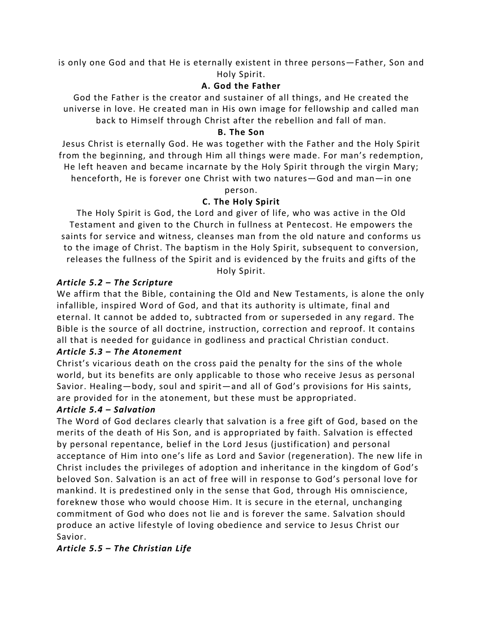is only one God and that He is eternally existent in three persons—Father, Son and Holy Spirit.

# **A. God the Father**

God the Father is the creator and sustainer of all things, and He created the universe in love. He created man in His own image for fellowship and called man back to Himself through Christ after the rebellion and fall of man.

## **B. The Son**

Jesus Christ is eternally God. He was together with the Father and the Holy Spirit from the beginning, and through Him all things were made. For man's redemption, He left heaven and became incarnate by the Holy Spirit through the virgin Mary; henceforth, He is forever one Christ with two natures—God and man—in one

person.

# **C. The Holy Spirit**

The Holy Spirit is God, the Lord and giver of life, who was active in the Old Testament and given to the Church in fullness at Pentecost. He empowers the saints for service and witness, cleanses man from the old nature and conforms us to the image of Christ. The baptism in the Holy Spirit, subsequent to conversion, releases the fullness of the Spirit and is evidenced by the fruits and gifts of the

Holy Spirit.

# *Article 5.2 – The Scripture*

We affirm that the Bible, containing the Old and New Testaments, is alone the only infallible, inspired Word of God, and that its authority is ultimate, final and eternal. It cannot be added to, subtracted from or superseded in any regard. The Bible is the source of all doctrine, instruction, correction and reproof. It contains all that is needed for guidance in godliness and practical Christian conduct.

# *Article 5.3 – The Atonement*

Christ's vicarious death on the cross paid the penalty for the sins of the whole world, but its benefits are only applicable to those who receive Jesus as personal Savior. Healing—body, soul and spirit—and all of God's provisions for His saints, are provided for in the atonement, but these must be appropriated.

## *Article 5.4 – Salvation*

The Word of God declares clearly that salvation is a free gift of God, based on the merits of the death of His Son, and is appropriated by faith. Salvation is effected by personal repentance, belief in the Lord Jesus (justification) and personal acceptance of Him into one's life as Lord and Savior (regeneration). The new life in Christ includes the privileges of adoption and inheritance in the kingdom of God's beloved Son. Salvation is an act of free will in response to God's personal love for mankind. It is predestined only in the sense that God, through His omniscience, foreknew those who would choose Him. It is secure in the eternal, unchanging commitment of God who does not lie and is forever the same. Salvation should produce an active lifestyle of loving obedience and service to Jesus Christ our Savior.

# *Article 5.5 – The Christian Life*